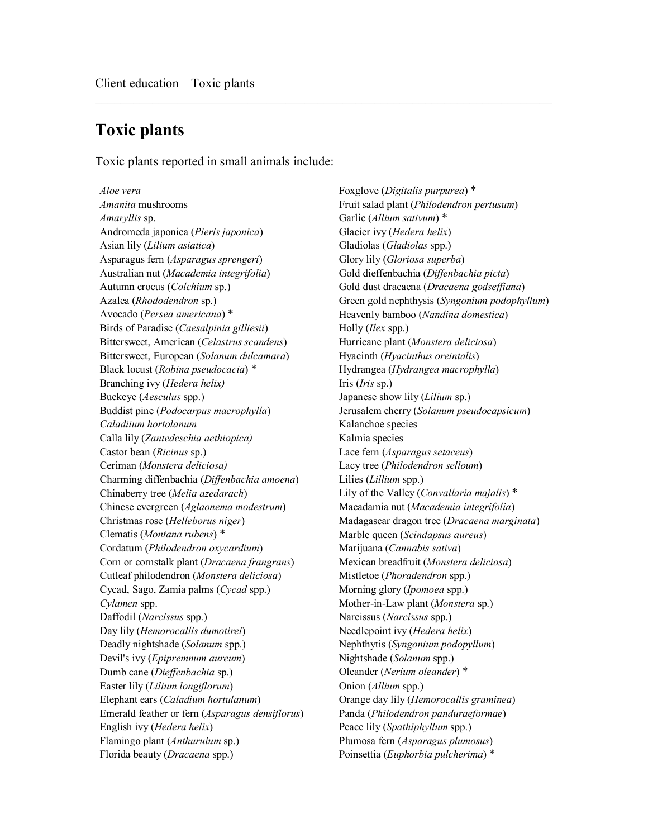## **Toxic plants**

Toxic plants reported in small animals include:

 $\mathcal{L}_\text{max}$  , and the contribution of the contribution of the contribution of the contribution of the contribution of the contribution of the contribution of the contribution of the contribution of the contribution of t

*Amanita* mushrooms Fruit salad plant (*Philodendron pertusum*) *Amaryllis* sp. Garlic (*Allium sativum*) \* Andromeda japonica (*Pieris japonica*) Glacier ivy (*Hedera helix*) Asian lily (*Lilium asiatica*) Gladiolas (*Gladiolas* spp.) Asparagus fern (*Asparagus sprengeri*) Glory lily (*Gloriosa superba*) Australian nut (*Macademia integrifolia*) Gold dieffenbachia (*Diffenbachia picta*) Autumn crocus (*Colchium* sp.) Gold dust dracaena (*Dracaena godseffiana*) Avocado (*Persea americana*) \* Heavenly bamboo (*Nandina domestica*) Birds of Paradise (*Caesalpinia gilliesii*) Holly (*Ilex* spp.) Bittersweet, American (*Celastrus scandens*) Hurricane plant (*Monstera deliciosa*) Bittersweet, European (*Solanum dulcamara*) Hyacinth (*Hyacinthus oreintalis*) Black locust (*Robina pseudocacia*) \* Hydrangea (*Hydrangea macrophylla*) Branching ivy (*Hedera helix)* Iris (*Iris* sp.) Buckeye (*Aesculus* spp.) Japanese show lily (*Lilium* sp.) Buddist pine (*Podocarpus macrophylla*) Jerusalem cherry (*Solanum pseudocapsicum*) *Caladiium hortolanum* Kalanchoe species Calla lily (*Zantedeschia aethiopica)* Kalmia species Castor bean (*Ricinus* sp.) Lace fern (*Asparagus setaceus*) Ceriman (*Monstera deliciosa)* Lacy tree (*Philodendron selloum*) Charming diffenbachia (*Diffenbachia amoena*) Lilies (*Lillium* spp.) Chinaberry tree (*Melia azedarach*) Lily of the Valley (*Convallaria majalis*) \* Chinese evergreen (*Aglaonema modestrum*) Macadamia nut (*Macademia integrifolia*) Christmas rose (*Helleborus niger*) Madagascar dragon tree (*Dracaena marginata*) Clematis (*Montana rubens*) \* Marble queen (*Scindapsus aureus*) Cordatum (*Philodendron oxycardium*) Marijuana (*Cannabis sativa*) Corn or cornstalk plant (*Dracaena frangrans*) Mexican breadfruit (*Monstera deliciosa*) Cutleaf philodendron (*Monstera deliciosa*) Mistletoe (*Phoradendron* spp.) Cycad, Sago, Zamia palms (*Cycad* spp.) Morning glory (*Ipomoea* spp.) *Cylamen* spp. Mother-in-Law plant (*Monstera* sp.) Daffodil (*Narcissus* spp.) Narcissus (*Narcissus* spp.) Day lily (*Hemorocallis dumotirei*) Needlepoint ivy (*Hedera helix*) Deadly nightshade (*Solanum* spp.) Nephthytis (*Syngonium podopyllum*) Devil's ivy (*Epipremnum aureum*) Nightshade (*Solanum* spp.) Dumb cane (*Dieffenbachia* sp.) Oleander (*Nerium oleander*) \* Easter lily (*Lilium longiflorum*) Onion (*Allium* spp.) Elephant ears (*Caladium hortulanum*) Orange day lily (*Hemorocallis graminea*) Emerald feather or fern (*Asparagus densiflorus*) Panda (*Philodendron panduraeformae*) English ivy (*Hedera helix*) Peace lily (*Spathiphyllum* spp.) Flamingo plant (*Anthuruium* sp.) Plumosa fern (*Asparagus plumosus*) Florida beauty (*Dracaena* spp.) Poinsettia (*Euphorbia pulcherima*) \*

*Aloe vera* Foxglove (*Digitalis purpurea*) \* Azalea (*Rhododendron* sp.) Green gold nephthysis (*Syngonium podophyllum*)